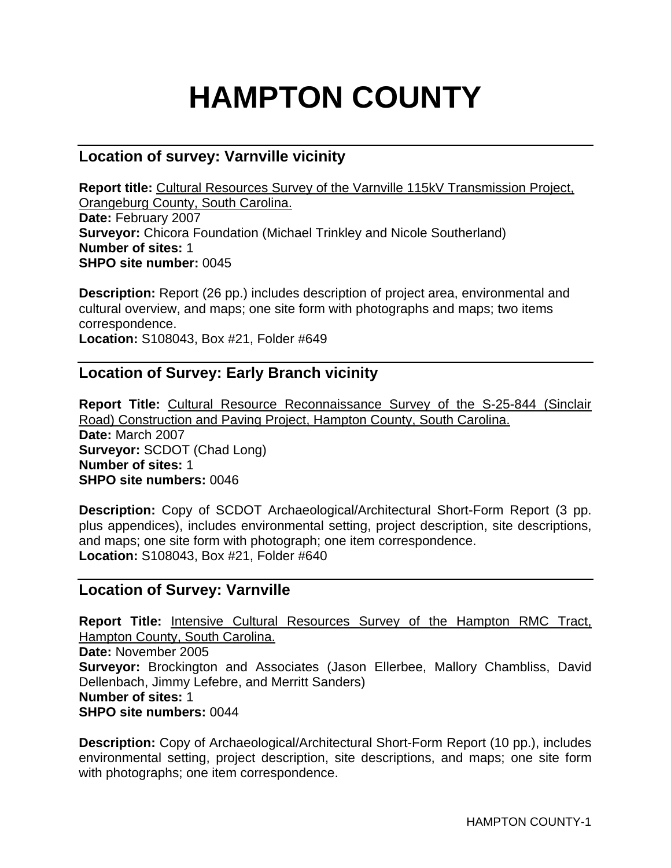# **HAMPTON COUNTY**

# **Location of survey: Varnville vicinity**

**Report title:** Cultural Resources Survey of the Varnville 115kV Transmission Project, Orangeburg County, South Carolina. **Date:** February 2007 **Surveyor:** Chicora Foundation (Michael Trinkley and Nicole Southerland) **Number of sites:** 1 **SHPO site number:** 0045

**Description:** Report (26 pp.) includes description of project area, environmental and cultural overview, and maps; one site form with photographs and maps; two items correspondence.

**Location:** S108043, Box #21, Folder #649

## **Location of Survey: Early Branch vicinity**

**Report Title:** Cultural Resource Reconnaissance Survey of the S-25-844 (Sinclair Road) Construction and Paving Project, Hampton County, South Carolina. **Date:** March 2007 **Surveyor:** SCDOT (Chad Long) **Number of sites:** 1 **SHPO site numbers:** 0046

**Description:** Copy of SCDOT Archaeological/Architectural Short-Form Report (3 pp. plus appendices), includes environmental setting, project description, site descriptions, and maps; one site form with photograph; one item correspondence. **Location:** S108043, Box #21, Folder #640

## **Location of Survey: Varnville**

**Report Title:** Intensive Cultural Resources Survey of the Hampton RMC Tract, Hampton County, South Carolina. **Date:** November 2005 **Surveyor:** Brockington and Associates (Jason Ellerbee, Mallory Chambliss, David Dellenbach, Jimmy Lefebre, and Merritt Sanders) **Number of sites:** 1 **SHPO site numbers:** 0044

**Description:** Copy of Archaeological/Architectural Short-Form Report (10 pp.), includes environmental setting, project description, site descriptions, and maps; one site form with photographs; one item correspondence.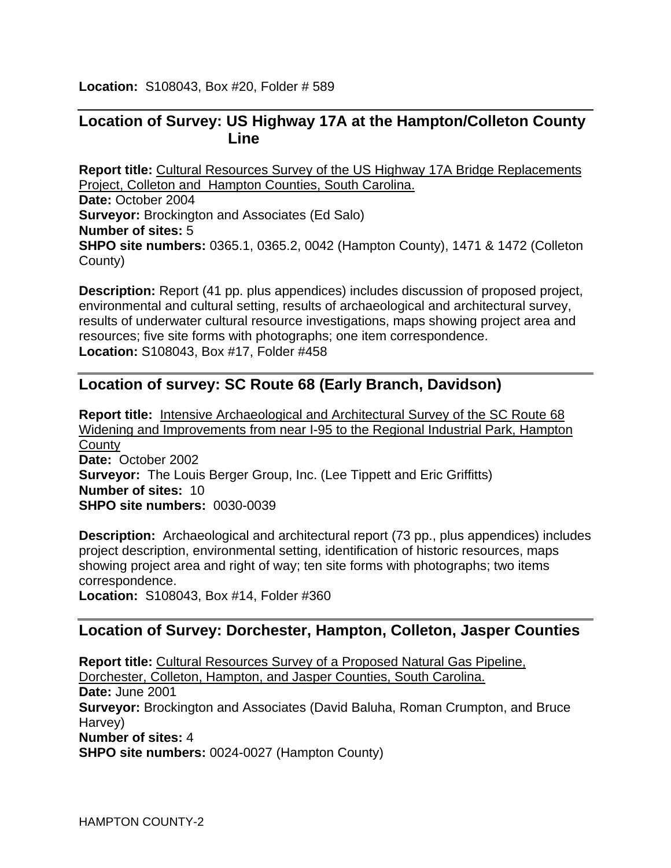**Location:** S108043, Box #20, Folder # 589

## **Location of Survey: US Highway 17A at the Hampton/Colleton County Line**

**Report title:** Cultural Resources Survey of the US Highway 17A Bridge Replacements Project, Colleton and Hampton Counties, South Carolina. **Date:** October 2004 **Surveyor:** Brockington and Associates (Ed Salo) **Number of sites:** 5 **SHPO site numbers:** 0365.1, 0365.2, 0042 (Hampton County), 1471 & 1472 (Colleton County)

**Description:** Report (41 pp. plus appendices) includes discussion of proposed project, environmental and cultural setting, results of archaeological and architectural survey, results of underwater cultural resource investigations, maps showing project area and resources; five site forms with photographs; one item correspondence. **Location:** S108043, Box #17, Folder #458

## **Location of survey: SC Route 68 (Early Branch, Davidson)**

**Report title:** Intensive Archaeological and Architectural Survey of the SC Route 68 Widening and Improvements from near I-95 to the Regional Industrial Park, Hampton **County Date:** October 2002 **Surveyor:** The Louis Berger Group, Inc. (Lee Tippett and Eric Griffitts) **Number of sites:** 10 **SHPO site numbers:** 0030-0039

**Description:** Archaeological and architectural report (73 pp., plus appendices) includes project description, environmental setting, identification of historic resources, maps showing project area and right of way; ten site forms with photographs; two items correspondence.

**Location:** S108043, Box #14, Folder #360

## **Location of Survey: Dorchester, Hampton, Colleton, Jasper Counties**

**Report title:** Cultural Resources Survey of a Proposed Natural Gas Pipeline, Dorchester, Colleton, Hampton, and Jasper Counties, South Carolina. **Date:** June 2001 **Surveyor:** Brockington and Associates (David Baluha, Roman Crumpton, and Bruce Harvey) **Number of sites:** 4 **SHPO site numbers:** 0024-0027 (Hampton County)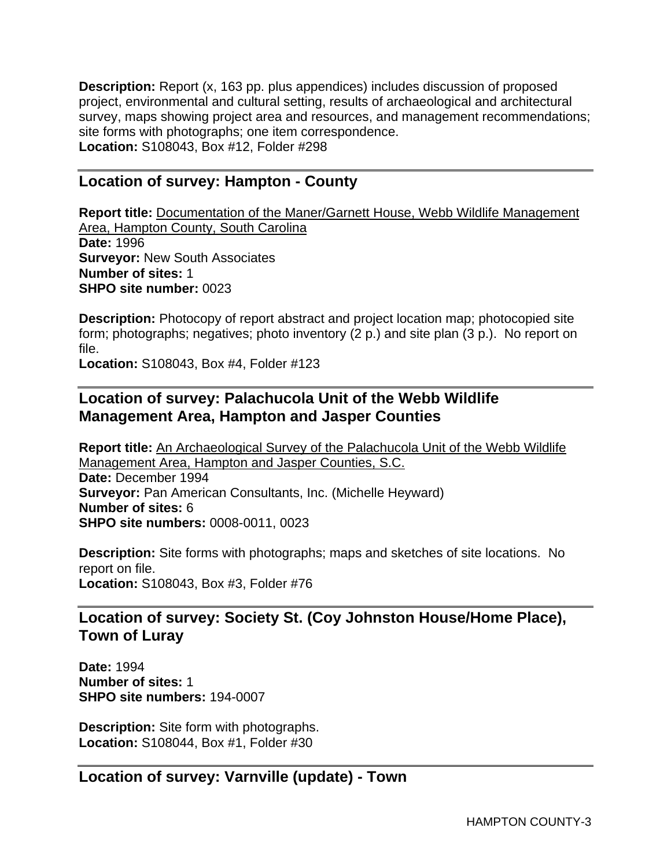**Description:** Report (x, 163 pp. plus appendices) includes discussion of proposed project, environmental and cultural setting, results of archaeological and architectural survey, maps showing project area and resources, and management recommendations; site forms with photographs; one item correspondence. **Location:** S108043, Box #12, Folder #298

## **Location of survey: Hampton - County**

**Report title:** Documentation of the Maner/Garnett House, Webb Wildlife Management Area, Hampton County, South Carolina **Date:** 1996 **Surveyor:** New South Associates **Number of sites:** 1 **SHPO site number:** 0023

**Description:** Photocopy of report abstract and project location map; photocopied site form; photographs; negatives; photo inventory (2 p.) and site plan (3 p.). No report on file.

**Location:** S108043, Box #4, Folder #123

# **Location of survey: Palachucola Unit of the Webb Wildlife Management Area, Hampton and Jasper Counties**

**Report title:** An Archaeological Survey of the Palachucola Unit of the Webb Wildlife Management Area, Hampton and Jasper Counties, S.C. **Date:** December 1994 **Surveyor:** Pan American Consultants, Inc. (Michelle Heyward) **Number of sites:** 6 **SHPO site numbers:** 0008-0011, 0023

**Description:** Site forms with photographs; maps and sketches of site locations. No report on file. **Location:** S108043, Box #3, Folder #76

# **Location of survey: Society St. (Coy Johnston House/Home Place), Town of Luray**

**Date:** 1994 **Number of sites:** 1 **SHPO site numbers:** 194-0007

**Description:** Site form with photographs. **Location:** S108044, Box #1, Folder #30

**Location of survey: Varnville (update) - Town**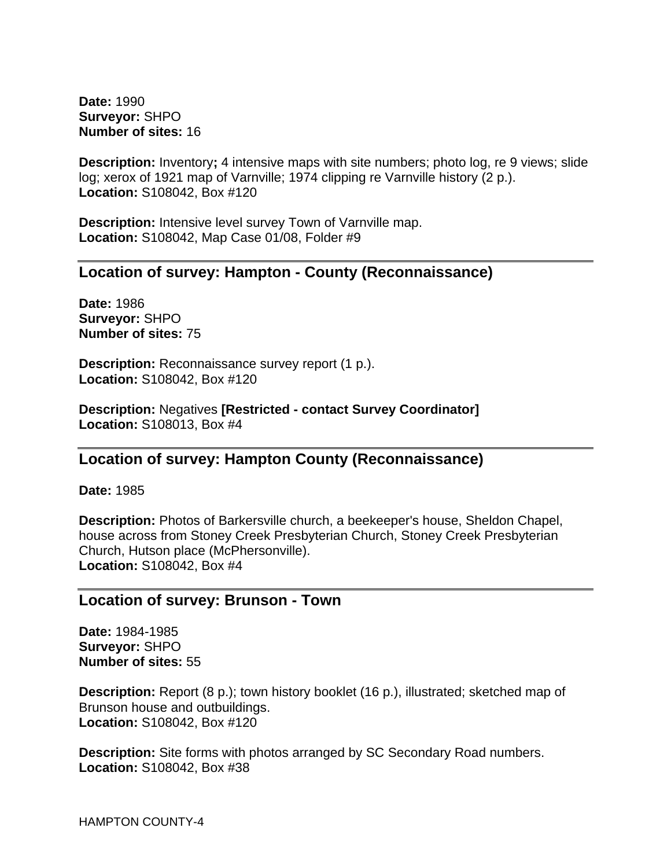**Date:** 1990 **Surveyor:** SHPO **Number of sites:** 16

**Description:** Inventory; 4 intensive maps with site numbers; photo log, re 9 views; slide log; xerox of 1921 map of Varnville; 1974 clipping re Varnville history (2 p.). **Location:** S108042, Box #120

**Description:** Intensive level survey Town of Varnville map. **Location:** S108042, Map Case 01/08, Folder #9

#### **Location of survey: Hampton - County (Reconnaissance)**

**Date:** 1986 **Surveyor:** SHPO **Number of sites:** 75

**Description:** Reconnaissance survey report (1 p.). **Location:** S108042, Box #120

**Description:** Negatives **[Restricted - contact Survey Coordinator] Location:** S108013, Box #4

## **Location of survey: Hampton County (Reconnaissance)**

**Date:** 1985

**Description:** Photos of Barkersville church, a beekeeper's house, Sheldon Chapel, house across from Stoney Creek Presbyterian Church, Stoney Creek Presbyterian Church, Hutson place (McPhersonville). **Location:** S108042, Box #4

#### **Location of survey: Brunson - Town**

**Date:** 1984-1985 **Surveyor:** SHPO **Number of sites:** 55

**Description:** Report (8 p.); town history booklet (16 p.), illustrated; sketched map of Brunson house and outbuildings. **Location:** S108042, Box #120

**Description:** Site forms with photos arranged by SC Secondary Road numbers. **Location:** S108042, Box #38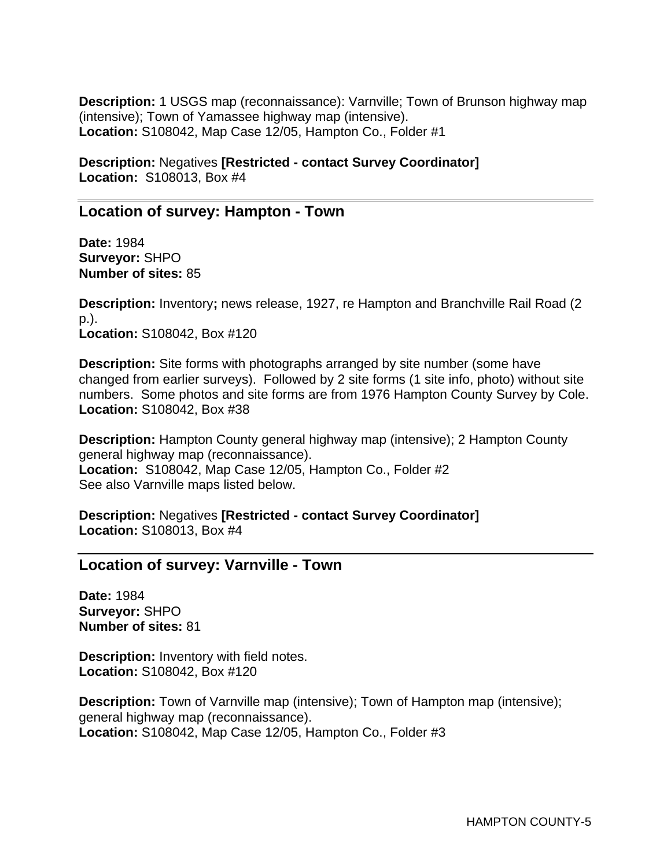**Description:** 1 USGS map (reconnaissance): Varnville; Town of Brunson highway map (intensive); Town of Yamassee highway map (intensive). **Location:** S108042, Map Case 12/05, Hampton Co., Folder #1

**Description:** Negatives **[Restricted - contact Survey Coordinator] Location:** S108013, Box #4

## **Location of survey: Hampton - Town**

**Date:** 1984 **Surveyor:** SHPO **Number of sites:** 85

**Description:** Inventory**;** news release, 1927, re Hampton and Branchville Rail Road (2 p.). **Location:** S108042, Box #120

**Description:** Site forms with photographs arranged by site number (some have changed from earlier surveys). Followed by 2 site forms (1 site info, photo) without site numbers. Some photos and site forms are from 1976 Hampton County Survey by Cole. **Location:** S108042, Box #38

**Description:** Hampton County general highway map (intensive); 2 Hampton County general highway map (reconnaissance). **Location:** S108042, Map Case 12/05, Hampton Co., Folder #2 See also Varnville maps listed below.

**Description:** Negatives **[Restricted - contact Survey Coordinator] Location:** S108013, Box #4

## **Location of survey: Varnville - Town**

**Date:** 1984 **Surveyor:** SHPO **Number of sites:** 81

**Description:** Inventory with field notes. **Location:** S108042, Box #120

**Description:** Town of Varnville map (intensive); Town of Hampton map (intensive); general highway map (reconnaissance). **Location:** S108042, Map Case 12/05, Hampton Co., Folder #3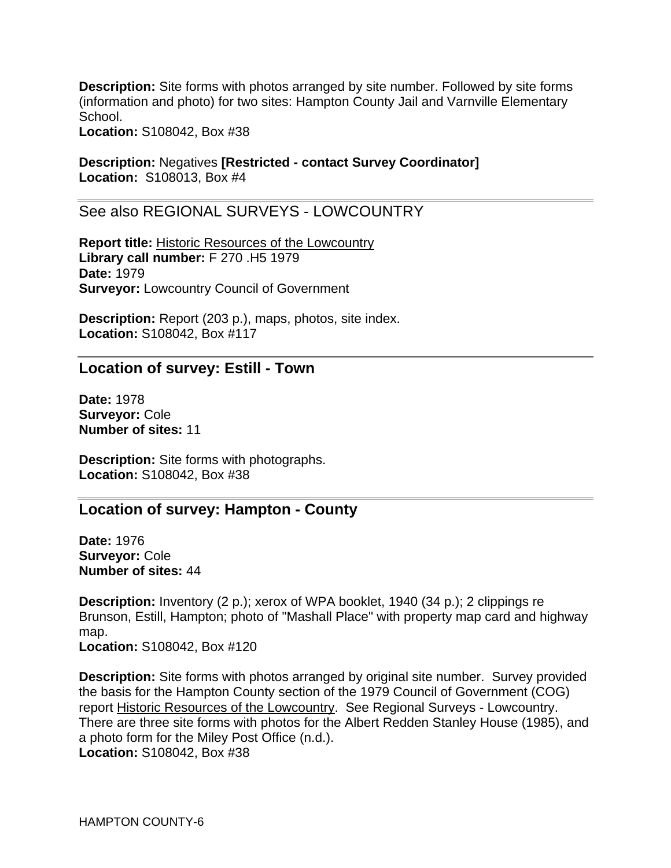**Description:** Site forms with photos arranged by site number. Followed by site forms (information and photo) for two sites: Hampton County Jail and Varnville Elementary School.

**Location:** S108042, Box #38

**Description:** Negatives **[Restricted - contact Survey Coordinator] Location:** S108013, Box #4

See also REGIONAL SURVEYS - LOWCOUNTRY

**Report title:** Historic Resources of the Lowcountry **Library call number:** F 270 .H5 1979 **Date:** 1979 **Surveyor:** Lowcountry Council of Government

**Description:** Report (203 p.), maps, photos, site index. **Location:** S108042, Box #117

#### **Location of survey: Estill - Town**

**Date:** 1978 **Surveyor:** Cole **Number of sites:** 11

**Description:** Site forms with photographs. **Location:** S108042, Box #38

#### **Location of survey: Hampton - County**

**Date:** 1976 **Surveyor:** Cole **Number of sites:** 44

**Description:** Inventory (2 p.); xerox of WPA booklet, 1940 (34 p.); 2 clippings re Brunson, Estill, Hampton; photo of "Mashall Place" with property map card and highway map. **Location:** S108042, Box #120

**Description:** Site forms with photos arranged by original site number. Survey provided the basis for the Hampton County section of the 1979 Council of Government (COG) report Historic Resources of the Lowcountry. See Regional Surveys - Lowcountry. There are three site forms with photos for the Albert Redden Stanley House (1985), and a photo form for the Miley Post Office (n.d.). **Location:** S108042, Box #38